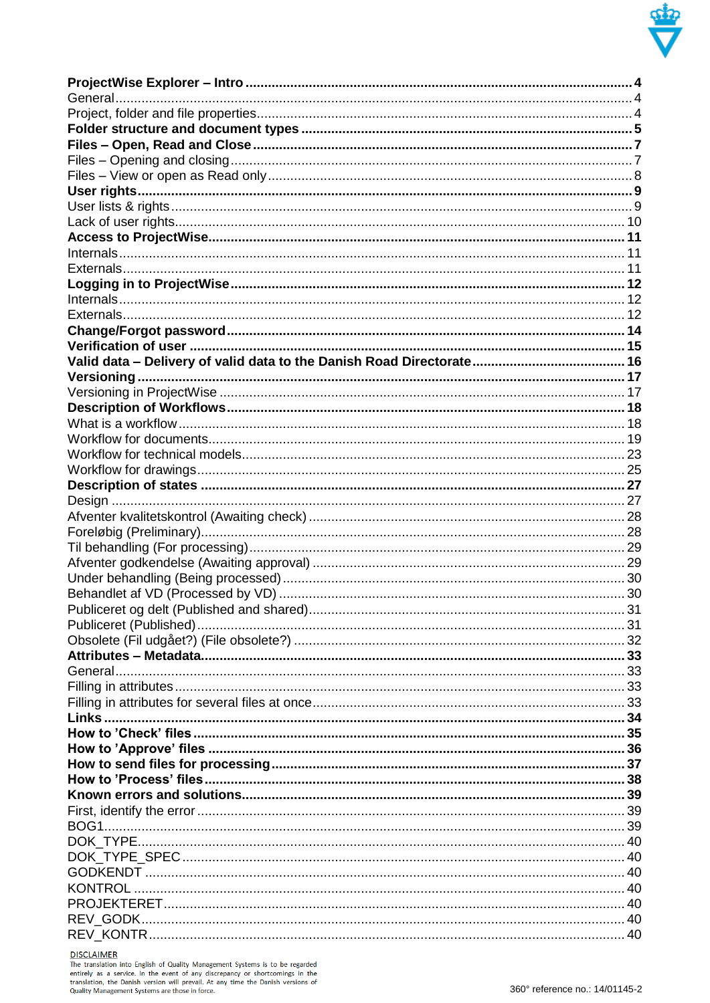

| <b>KONTROL</b> |  |
|----------------|--|
|                |  |
|                |  |
|                |  |
|                |  |

**DISCLAIMER**<br>The translation into English of Quality Management Systems is to be regarded<br>entirely as a service. In the event of any discrepancy or shortcomings in the<br>translation, the Danish version will prevail. At any t